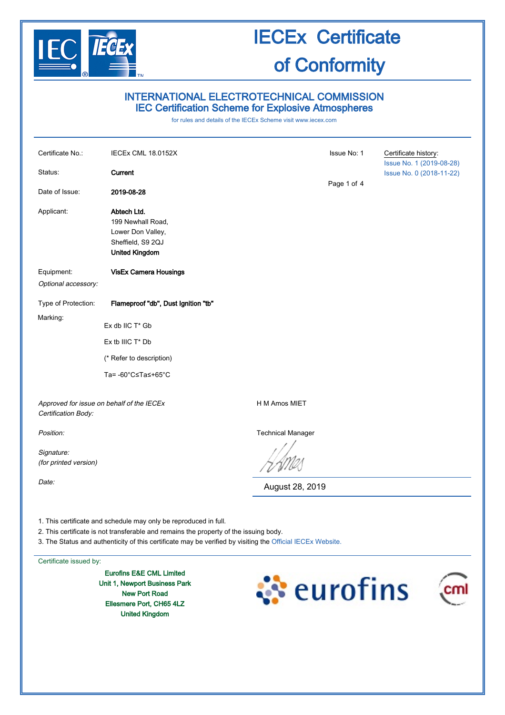

### INTERNATIONAL ELECTROTECHNICAL COMMISSION IEC Certification Scheme for Explosive Atmospheres

for rules and details of the IECEx Scheme visit [www.iecex.com](http://www.iecex.com/)

| Certificate No.:<br>Status:                                      | IECEx CML 18.0152X<br>Current                                                                       |                          | Issue No: 1 | Certificate history:<br>Issue No. 1 (2019-08-28)<br>Issue No. 0 (2018-11-22) |
|------------------------------------------------------------------|-----------------------------------------------------------------------------------------------------|--------------------------|-------------|------------------------------------------------------------------------------|
| Date of Issue:                                                   | 2019-08-28                                                                                          |                          | Page 1 of 4 |                                                                              |
| Applicant:                                                       | Abtech Ltd.<br>199 Newhall Road,<br>Lower Don Valley,<br>Sheffield, S9 2QJ<br><b>United Kingdom</b> |                          |             |                                                                              |
| Equipment:<br>Optional accessory:                                | <b>VisEx Camera Housings</b>                                                                        |                          |             |                                                                              |
| Type of Protection:                                              | Flameproof "db", Dust Ignition "tb"                                                                 |                          |             |                                                                              |
| Marking:                                                         | Ex db IIC T* Gb                                                                                     |                          |             |                                                                              |
|                                                                  | Ex tb IIIC T* Db                                                                                    |                          |             |                                                                              |
|                                                                  | (* Refer to description)                                                                            |                          |             |                                                                              |
|                                                                  | Ta= -60°C≤Ta≤+65°C                                                                                  |                          |             |                                                                              |
| Approved for issue on behalf of the IECEx<br>Certification Body: |                                                                                                     | H M Amos MIET            |             |                                                                              |
| Position:                                                        |                                                                                                     | <b>Technical Manager</b> |             |                                                                              |
| Signature:<br>(for printed version)                              |                                                                                                     |                          |             |                                                                              |
| Date:                                                            |                                                                                                     | August 28, 2019          |             |                                                                              |
|                                                                  |                                                                                                     |                          |             |                                                                              |

1. This certificate and schedule may only be reproduced in full.

2. This certificate is not transferable and remains the property of the issuing body.

3. The Status and authenticity of this certificate may be verified by visiting the [Official IECEx Website.](http://iecex.iec.ch/)

Certificate issued by:

Eurofins E&E CML Limited Unit 1, Newport Business Park New Port Road Ellesmere Port, CH65 4LZ United Kingdom

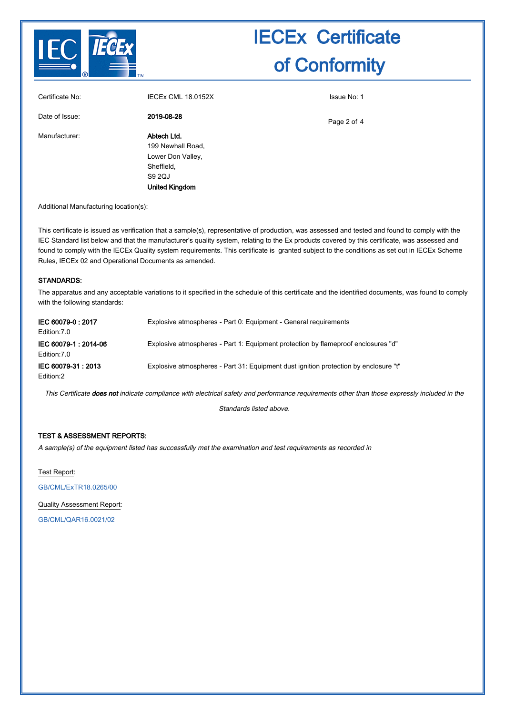

| Certificate No: | IECEX CML 18.0152X                                                                                     | Issue No: 1 |
|-----------------|--------------------------------------------------------------------------------------------------------|-------------|
| Date of Issue:  | 2019-08-28                                                                                             | Page 2 of 4 |
| Manufacturer:   | Abtech Ltd.<br>199 Newhall Road,<br>Lower Don Valley,<br>Sheffield,<br>S9 2QJ<br><b>United Kingdom</b> |             |

Additional Manufacturing location(s):

This certificate is issued as verification that a sample(s), representative of production, was assessed and tested and found to comply with the IEC Standard list below and that the manufacturer's quality system, relating to the Ex products covered by this certificate, was assessed and found to comply with the IECEx Quality system requirements. This certificate is granted subject to the conditions as set out in IECEx Scheme Rules, IECEx 02 and Operational Documents as amended.

#### STANDARDS:

The apparatus and any acceptable variations to it specified in the schedule of this certificate and the identified documents, was found to comply with the following standards:

| IEC 60079-0: 2017<br>Edition: 7.0   | Explosive atmospheres - Part 0: Equipment - General requirements                     |
|-------------------------------------|--------------------------------------------------------------------------------------|
| IEC 60079-1:2014-06<br>Edition: 7.0 | Explosive atmospheres - Part 1: Equipment protection by flameproof enclosures "d"    |
| IEC 60079-31: 2013<br>Edition:2     | Explosive atmospheres - Part 31: Equipment dust ignition protection by enclosure "t" |

This Certificate does not indicate compliance with electrical safety and performance requirements other than those expressly included in the

Standards listed above.

#### TEST & ASSESSMENT REPORTS:

A sample(s) of the equipment listed has successfully met the examination and test requirements as recorded in

Test Report:

[GB/CML/ExTR18.0265/00](http://iecex.iec.ch/extr/GB.CML.ExTR18.0265.00)

Quality Assessment Report:

[GB/CML/QAR16.0021/02](http://iecex.iec.ch/qar/GB.CML.QAR16.0021.02)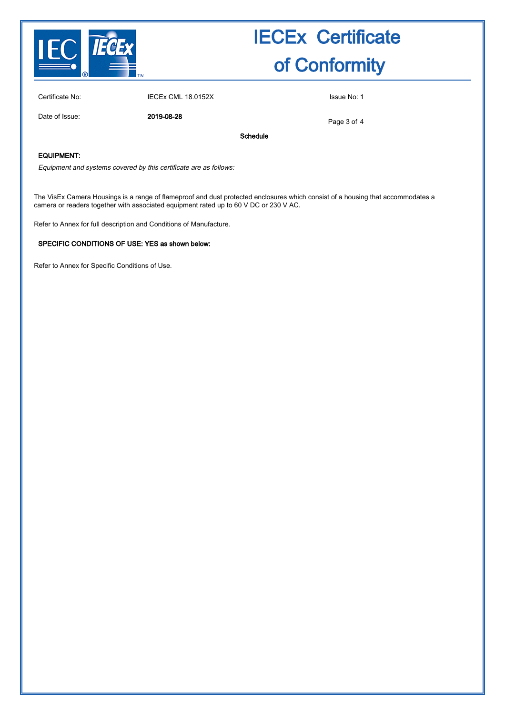

Certificate No: IECEx CML 18.0152X Issue No: 1

Date of Issue: 2019-08-28

Page 3 of 4

Schedule

#### EQUIPMENT:

Equipment and systems covered by this certificate are as follows:

The VisEx Camera Housings is a range of flameproof and dust protected enclosures which consist of a housing that accommodates a camera or readers together with associated equipment rated up to 60 V DC or 230 V AC.

Refer to Annex for full description and Conditions of Manufacture.

#### SPECIFIC CONDITIONS OF USE: YES as shown below:

Refer to Annex for Specific Conditions of Use.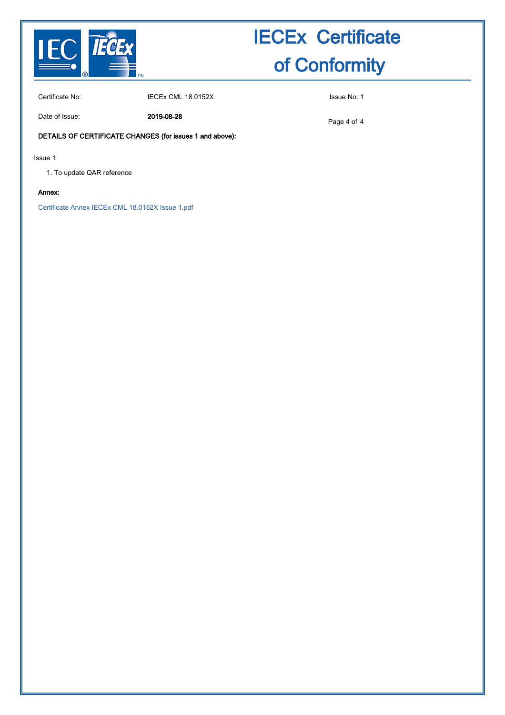

Certificate No: IECEx CML 18.0152X ISSue No: 1

Date of Issue: 2019-08-28

Page 4 of 4

### DETAILS OF CERTIFICATE CHANGES (for issues 1 and above):

Issue 1

1. To update QAR reference

#### Annex:

[Certificate Annex IECEx CML 18.0152X Issue 1.pdf](http://iecex.iec.ch/cert/IECExCML18.01521/$File/Certificate Annex IECEx CML 18.0152X Issue 1.pdf)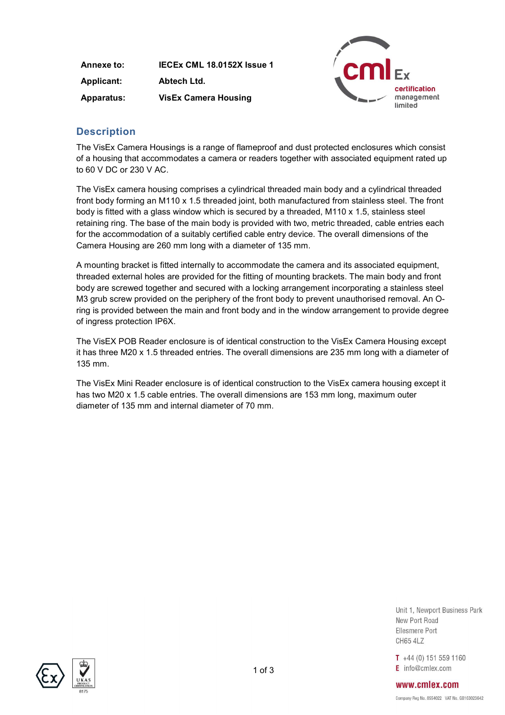Annexe to: IECEx CML 18.0152X Issue 1 Applicant: Abtech Ltd. Apparatus: VisEx Camera Housing



## **Description**

The VisEx Camera Housings is a range of flameproof and dust protected enclosures which consist of a housing that accommodates a camera or readers together with associated equipment rated up to 60 V DC or 230 V AC.

The VisEx camera housing comprises a cylindrical threaded main body and a cylindrical threaded front body forming an M110 x 1.5 threaded joint, both manufactured from stainless steel. The front body is fitted with a glass window which is secured by a threaded, M110 x 1.5, stainless steel retaining ring. The base of the main body is provided with two, metric threaded, cable entries each for the accommodation of a suitably certified cable entry device. The overall dimensions of the Camera Housing are 260 mm long with a diameter of 135 mm.

A mounting bracket is fitted internally to accommodate the camera and its associated equipment, threaded external holes are provided for the fitting of mounting brackets. The main body and front body are screwed together and secured with a locking arrangement incorporating a stainless steel M3 grub screw provided on the periphery of the front body to prevent unauthorised removal. An Oring is provided between the main and front body and in the window arrangement to provide degree of ingress protection IP6X.

The VisEX POB Reader enclosure is of identical construction to the VisEx Camera Housing except it has three M20 x 1.5 threaded entries. The overall dimensions are 235 mm long with a diameter of 135 mm.

The VisEx Mini Reader enclosure is of identical construction to the VisEx camera housing except it has two M20 x 1.5 cable entries. The overall dimensions are 153 mm long, maximum outer diameter of 135 mm and internal diameter of 70 mm.

> Unit 1. Newport Business Park New Port Road Fllesmere Port **CH65 4LZ**

 $T + 44(0) 151 559 1160$  $E$  info@cmlex.com



www.cmlex.com Company Reg No. 8554022 VAT No. GB163023642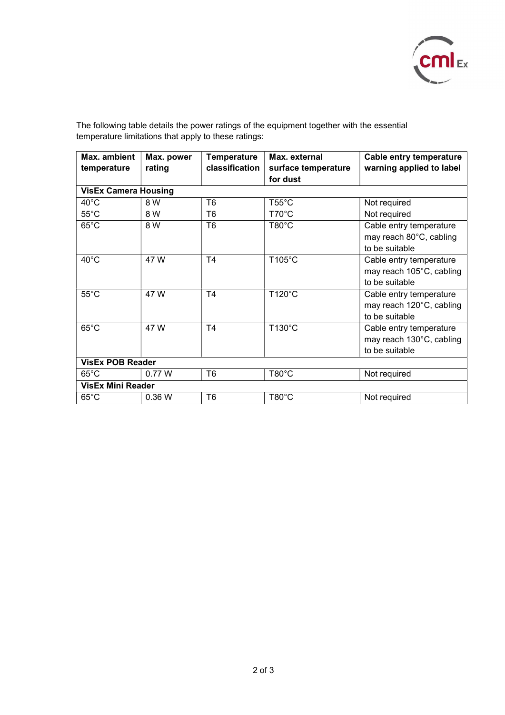

The following table details the power ratings of the equipment together with the essential temperature limitations that apply to these ratings:

| Max. ambient                | Max. power | <b>Temperature</b> | Max. external       | <b>Cable entry temperature</b> |  |  |
|-----------------------------|------------|--------------------|---------------------|--------------------------------|--|--|
| temperature                 | rating     | classification     | surface temperature | warning applied to label       |  |  |
|                             |            |                    | for dust            |                                |  |  |
| <b>VisEx Camera Housing</b> |            |                    |                     |                                |  |  |
| $40^{\circ}$ C              | 8 W        | T <sub>6</sub>     | $T55^{\circ}$ C     | Not required                   |  |  |
| $55^{\circ}$ C              | 8 W        | T <sub>6</sub>     | $T70^{\circ}C$      | Not required                   |  |  |
| $65^{\circ}$ C              | 8 W        | T <sub>6</sub>     | $T80^{\circ}$ C     | Cable entry temperature        |  |  |
|                             |            |                    |                     | may reach 80°C, cabling        |  |  |
|                             |            |                    |                     | to be suitable                 |  |  |
| $40^{\circ}$ C              | 47 W       | T <sub>4</sub>     | T105°C              | Cable entry temperature        |  |  |
|                             |            |                    |                     | may reach 105°C, cabling       |  |  |
|                             |            |                    |                     | to be suitable                 |  |  |
| $55^{\circ}$ C              | 47 W       | T <sub>4</sub>     | T120°C              | Cable entry temperature        |  |  |
|                             |            |                    |                     | may reach 120°C, cabling       |  |  |
|                             |            |                    |                     | to be suitable                 |  |  |
| $65^{\circ}$ C              | 47 W       | T <sub>4</sub>     | T130°C              | Cable entry temperature        |  |  |
|                             |            |                    |                     | may reach 130°C, cabling       |  |  |
|                             |            |                    |                     | to be suitable                 |  |  |
| <b>VisEx POB Reader</b>     |            |                    |                     |                                |  |  |
| $65^{\circ}$ C              | 0.77 W     | T <sub>6</sub>     | $T80^{\circ}$ C     | Not required                   |  |  |
| <b>VisEx Mini Reader</b>    |            |                    |                     |                                |  |  |
| $65^{\circ}$ C              | 0.36W      | T6                 | $T80^{\circ}$ C     | Not required                   |  |  |